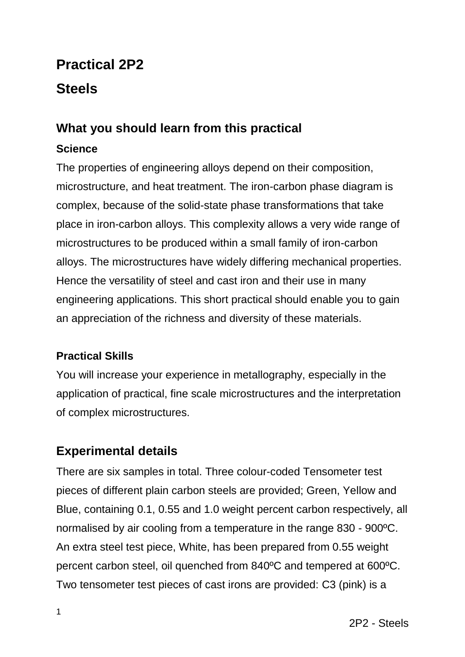# **Practical 2P2 Steels**

# **What you should learn from this practical**

# **Science**

The properties of engineering alloys depend on their composition, microstructure, and heat treatment. The iron-carbon phase diagram is complex, because of the solid-state phase transformations that take place in iron-carbon alloys. This complexity allows a very wide range of microstructures to be produced within a small family of iron-carbon alloys. The microstructures have widely differing mechanical properties. Hence the versatility of steel and cast iron and their use in many engineering applications. This short practical should enable you to gain an appreciation of the richness and diversity of these materials.

# **Practical Skills**

You will increase your experience in metallography, especially in the application of practical, fine scale microstructures and the interpretation of complex microstructures.

# **Experimental details**

There are six samples in total. Three colour-coded Tensometer test pieces of different plain carbon steels are provided; Green, Yellow and Blue, containing 0.1, 0.55 and 1.0 weight percent carbon respectively, all normalised by air cooling from a temperature in the range 830 - 900ºC. An extra steel test piece, White, has been prepared from 0.55 weight percent carbon steel, oil quenched from 840ºC and tempered at 600ºC. Two tensometer test pieces of cast irons are provided: C3 (pink) is a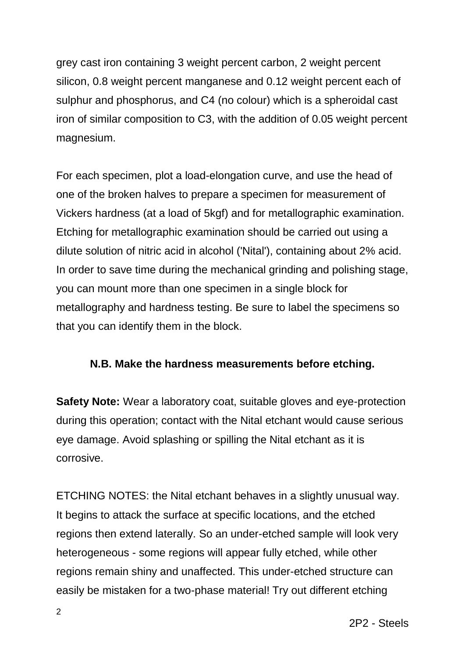grey cast iron containing 3 weight percent carbon, 2 weight percent silicon, 0.8 weight percent manganese and 0.12 weight percent each of sulphur and phosphorus, and C4 (no colour) which is a spheroidal cast iron of similar composition to C3, with the addition of 0.05 weight percent magnesium.

For each specimen, plot a load-elongation curve, and use the head of one of the broken halves to prepare a specimen for measurement of Vickers hardness (at a load of 5kgf) and for metallographic examination. Etching for metallographic examination should be carried out using a dilute solution of nitric acid in alcohol ('Nital'), containing about 2% acid. In order to save time during the mechanical grinding and polishing stage, you can mount more than one specimen in a single block for metallography and hardness testing. Be sure to label the specimens so that you can identify them in the block.

#### **N.B. Make the hardness measurements before etching.**

**Safety Note:** Wear a laboratory coat, suitable gloves and eye-protection during this operation; contact with the Nital etchant would cause serious eye damage. Avoid splashing or spilling the Nital etchant as it is corrosive.

ETCHING NOTES: the Nital etchant behaves in a slightly unusual way. It begins to attack the surface at specific locations, and the etched regions then extend laterally. So an under-etched sample will look very heterogeneous - some regions will appear fully etched, while other regions remain shiny and unaffected. This under-etched structure can easily be mistaken for a two-phase material! Try out different etching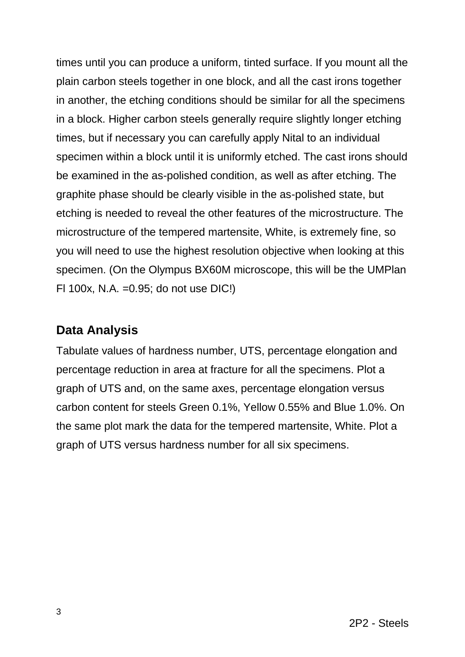times until you can produce a uniform, tinted surface. If you mount all the plain carbon steels together in one block, and all the cast irons together in another, the etching conditions should be similar for all the specimens in a block. Higher carbon steels generally require slightly longer etching times, but if necessary you can carefully apply Nital to an individual specimen within a block until it is uniformly etched. The cast irons should be examined in the as-polished condition, as well as after etching. The graphite phase should be clearly visible in the as-polished state, but etching is needed to reveal the other features of the microstructure. The microstructure of the tempered martensite, White, is extremely fine, so you will need to use the highest resolution objective when looking at this specimen. (On the Olympus BX60M microscope, this will be the UMPlan Fl 100x, N.A. =0.95; do not use DIC!)

# **Data Analysis**

Tabulate values of hardness number, UTS, percentage elongation and percentage reduction in area at fracture for all the specimens. Plot a graph of UTS and, on the same axes, percentage elongation versus carbon content for steels Green 0.1%, Yellow 0.55% and Blue 1.0%. On the same plot mark the data for the tempered martensite, White. Plot a graph of UTS versus hardness number for all six specimens.